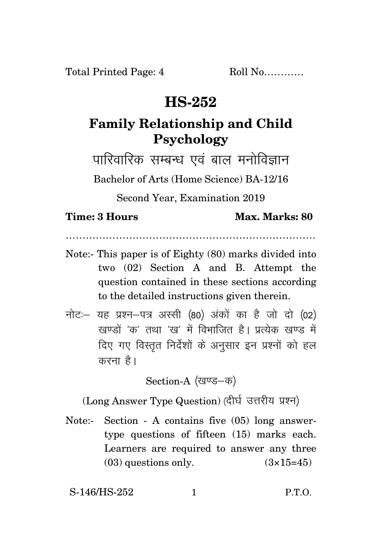## **HS-252**

## **Family Relationship and Child Psychology**

पारिवारिक सम्बन्ध एवं बाल मनोविज्ञान

Bachelor of Arts (Home Science) BA-12/16

Second Year, Examination 2019

## **Time: 3 Hours Max. Marks: 80**

…………………………………………………………………

- Note:- This paper is of Eighty (80) marks divided into two (02) Section A and B. Attempt the question contained in these sections according to the detailed instructions given therein.
- $\vec{\eta}$ नोटः यह प्रश्न-पत्र अस्सी (80) अंकों का है जो दो (02) .<br>रवण्डों *'क'* तथा 'रव' में विभाजित है। प्रत्येक रवण्ड में दिए गए विस्तृत निर्देशों के अनुसार इन प्रश्नों को हल करना है।

Section-A (खण्ड-क)

(Long Answer Type Question) (दीर्घ उत्तरीय प्रश्न)

Note:- Section - A contains five (05) long answertype questions of fifteen (15) marks each. Learners are required to answer any three  $(03)$  questions only.  $(3\times15=45)$ 

S-146/HS-252 1 P.T.O.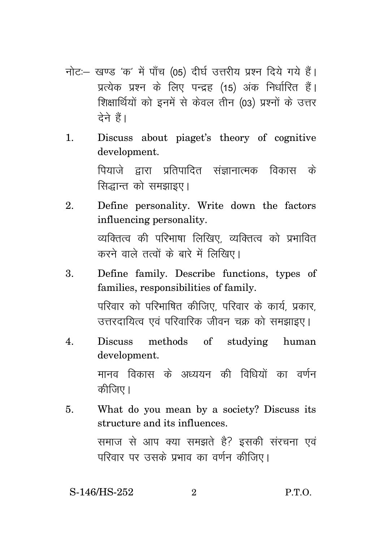- नोट: खण्ड 'क' में पाँच (05) दीर्घ उत्तरीय प्रश्न दिये गये हैं। प्रत्येक प्रश्न के लिए पन्द्रह (15) अंक निर्धारित हैं। शिक्षार्थियों को इनमें से केवल तीन (03) प्रश्नों के उत्तर <u>देने हैं।</u>
- 1. Discuss about piaget's theory of cognitive development. <u>पियाजे द्वारा प्रतिपादित संज्ञानात्मक विकास के</u> सिद्धान्त को समझाइए।
- 2. Define personality. Write down the factors influencing personality. व्यक्तित्व की परिभाषा लिखिए. व्यक्तित्व को प्रभावित करने वाले तत्वों के बारे में लिखिए।
- 3. Define family. Describe functions, types of families, responsibilities of family. परिवार को परिभाषित कीजिए. परिवार के कार्य, प्रकार, उत्तरदायित्व एवं परिवारिक जीवन चक्र को समझाइए।
- 4. Discuss methods of studying human development.

मानव विकास के अध्ययन की विधियों का वर्णन कीजिए।

5. What do you mean by a society? Discuss its structure and its influences. समाज से आप क्या समझते है? इसकी संरचना एवं परिवार पर उसके प्रभाव का वर्णन कीजिए।

S-146/HS-252 2 P.T.O.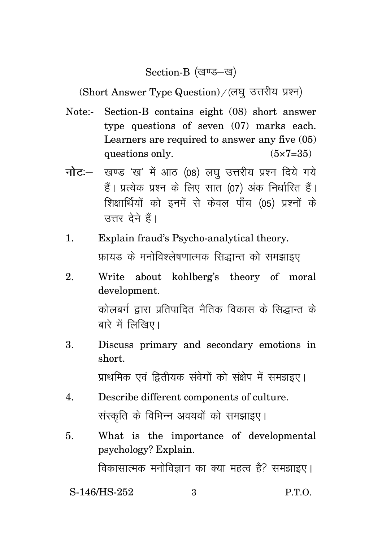Section-B (खण्ड-ख)

(Short Answer Type Question) / (लघु उत्तरीय प्रश्न)

- Note:- Section-B contains eight (08) short answer type questions of seven (07) marks each. Learners are required to answer any five (05) questions only.  $(5 \times 7 = 35)$
- **नोट:** खण्ड 'ख' में आठ (08) लघ उत्तरीय प्रश्न दिये गये हैं। प्रत्येक प्रश्न के लिए सात (07) अंक निर्धारित हैं। शिक्षार्थियों को इनमें से केवल पाँच (05) प्रश्नों के उत्तर देने हैं।
- 1. Explain fraud's Psycho-analytical theory. फ्रायड के मनोविश्लेषणात्मक सिद्धान्त को समझाइए
- 2. Write about kohlberg's theory of moral development. कोलबर्ग द्रारा प्रतिपादित नैतिक विकास के सिद्धान्त के

बारे में लिखिए।

3. Discuss primary and secondary emotions in short.

प्राथमिक एवं द्वितीयक संवेगों को संक्षेप में समझइए।

- 4. Describe different components of culture. संस्कृति के विभिन्न अवयवों को समझाइए।
- 5. What is the importance of developmental psychology? Explain. विकासात्मक मनोविज्ञान का क्या महत्व है? समझाइए।

S-146/HS-252 3 P.T.O.